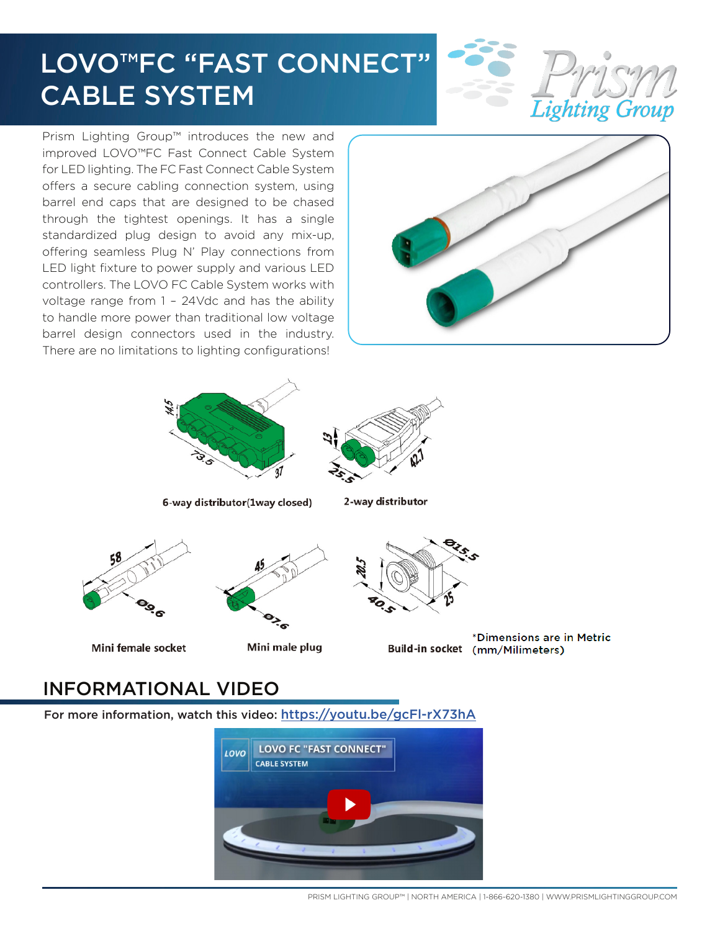# LOVO™FC "FAST CONNECT" CABLE SYSTEM



Prism Lighting Group™ introduces the new and improved LOVO™FC Fast Connect Cable System for LED lighting. The FC Fast Connect Cable System offers a secure cabling connection system, using barrel end caps that are designed to be chased through the tightest openings. It has a single standardized plug design to avoid any mix-up, offering seamless Plug N' Play connections from LED light fixture to power supply and various LED controllers. The LOVO FC Cable System works with voltage range from 1 – 24Vdc and has the ability to handle more power than traditional low voltage barrel design connectors used in the industry. There are no limitations to lighting configurations!







6-way distributor(1way closed)

2-way distributor





Mini female socket





\*Dimensions are in Metric Build-in socket (mm/Milimeters)

## INFORMATIONAL VIDEO

For more information, watch this video: https://youtu.be/gcFl-rX73hA



PRISM LIGHTING GROUP™ | NORTH AMERICA | 1-866-620-1380 | [WWW.PRISMLIGHTINGGROUP.COM](http://WWW.PRISMLIGHTINGGROUP.COM)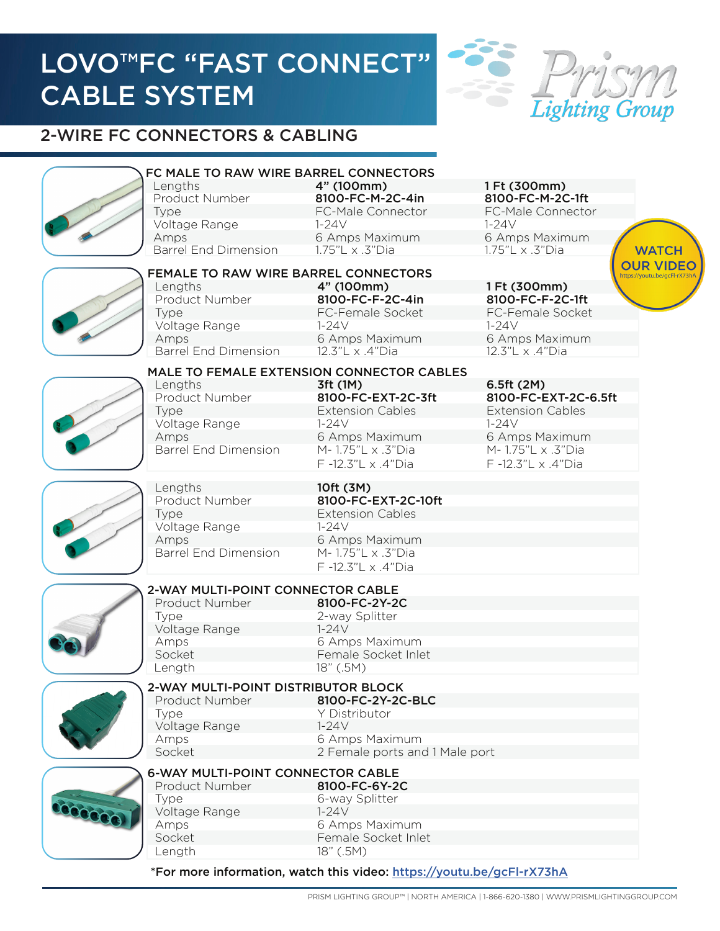# LOVO™FC "FAST CONNECT" CABLE SYSTEM



**WATCH OUR VIDEO** 

## 2-WIRE FC CONNECTORS & CABLING



### FC MALE TO RAW WIRE BARREL CONNECTORS

Product Number **8100-FC-M-2C-4in** 8100-FC-M-2C-1ft Voltage Range 1-24V 1-24V 1-24V Barrel End Dimension 1.75"L x .3"Dia 1.75"L x .3"Dia Amps 6 Amps Maximum 6 Amps Maximum

Lengths **4" (100mm)** 1 Ft (300mm)



### FEMALE TO RAW WIRE BARREL CONNECTORS

Product Number **8100-FC-F-2C-4in** 8100-FC-F-2C-1ft Voltage Range 1-24V 1-24V Barrel End Dimension 12.3"L x .4"Dia 12.3"L x .4"Dia Lengths 4" (100mm) 1 Ft (300mm) Type FC-Female Socket FC-Female Socket Amps 6 Amps Maximum 6 Amps Maximum

Type FC-Male Connector FC-Male Connector



#### MALE TO FEMALE EXTENSION CONNECTOR CABLES

Product Number **8100-FC-EXT-2C-3ft** 8100-FC-EXT-2C-6.5ft Voltage Range 1-24V 1-24V Barrel End Dimension M- 1.75"L x .3"Dia M- 1.75"L x .3"Dia Lengths 3ft (1M) 6.5ft (2M) Type Extension Cables Extension Cables Amps 6 Amps Maximum 6 Amps Maximum

F -12.3"L x .4"Dia F -12.3"L x .4"Dia



#### Product Number 8100-FC-EXT-2C-10ft Voltage Range 1-24V Barrel End Dimension M- 1.75"L x .3"Dia Lengths 10ft (3M) Type Extension Cables Amps 6 Amps Maximum

F -12.3"L x .4"Dia



## 2-WAY MULTI-POINT CONNECTOR CABLE

 Type 2-way Splitter Amps 6 Amps Maximum Length 18" (.5M) Product Number 8100-FC-2Y-2C Voltage Range 1-24V Socket Female Socket Inlet



#### 2-WAY MULTI-POINT DISTRIBUTOR BLOCK Type Y Distributor Amps 6 Amps Maximum Product Number 8100-FC-2Y-2C-BLC Voltage Range 1-24V Socket 2 Female ports and 1 Male port



#### 6-WAY MULTI-POINT CONNECTOR CABLE Product Number 8100-FC-6Y-2C

| 1 TVARAVAL TVRITINAVI |
|-----------------------|
| Type                  |
| Voltage Range         |
| Amps                  |
| Socket                |
| Length                |

#### 6-way Splitter 18" (.5M) Amps 6 Amps Maximum  $1-24V$ Female Socket Inlet

#### \*For more information, watch this video: <https://youtu.be/gcFl-rX73hA>